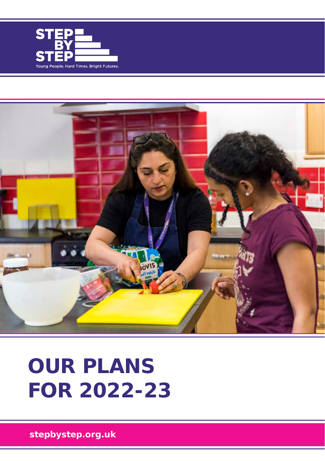



# **OUR PLANS FOR 2022-23**

**stepbystep.org.uk**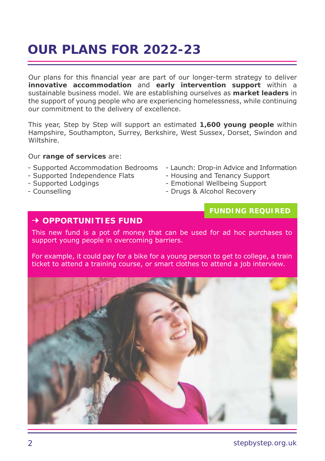### **OUR PLANS FOR 2022-23**

Our plans for this financial year are part of our longer-term strategy to deliver **innovative accommodation** and **early intervention support** within a sustainable business model. We are establishing ourselves as **market leaders** in the support of young people who are experiencing homelessness, while continuing our commitment to the delivery of excellence.

This year, Step by Step will support an estimated **1,600 young people** within Hampshire, Southampton, Surrey, Berkshire, West Sussex, Dorset, Swindon and Wiltshire.

#### Our **range of services** are:

- Supported Accommodation Bedrooms Launch: Drop-in Advice and Information
- Supported Independence Flats
- Supported Lodgings
- Counselling

**FUNDING REQUIRED**

- Housing and Tenancy Support
- Emotional Wellbeing Support
- Drugs & Alcohol Recovery

#### **OPPORTUNITIES FUND**

This new fund is a pot of money that can be used for ad hoc purchases to support young people in overcoming barriers.

For example, it could pay for a bike for a young person to get to college, a train ticket to attend a training course, or smart clothes to attend a job interview.

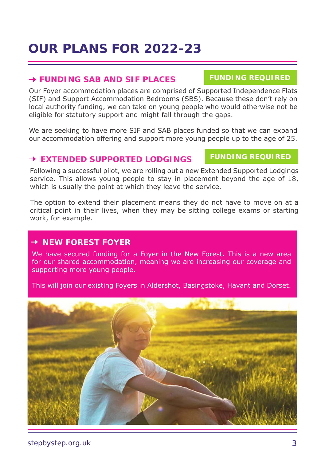### **OUR PLANS FOR 2022-23**

#### **FUNDING SAB AND SIF PLACES**

Our Foyer accommodation places are comprised of Supported Independence Flats (SIF) and Support Accommodation Bedrooms (SBS). Because these don't rely on local authority funding, we can take on young people who would otherwise not be eligible for statutory support and might fall through the gaps.

We are seeking to have more SIF and SAB places funded so that we can expand our accommodation offering and support more young people up to the age of 25.

#### **EXTENDED SUPPORTED LODGINGS**

Following a successful pilot, we are rolling out a new Extended Supported Lodgings service. This allows young people to stay in placement beyond the age of 18, which is usually the point at which they leave the service.

The option to extend their placement means they do not have to move on at a critical point in their lives, when they may be sitting college exams or starting work, for example.

#### **NEW FOREST FOYER**

We have secured funding for a Foyer in the New Forest. This is a new area for our shared accommodation, meaning we are increasing our coverage and supporting more young people.

This will join our existing Foyers in Aldershot, Basingstoke, Havant and Dorset.



#### **FUNDING REQUIRED**

**FUNDING REQUIRED**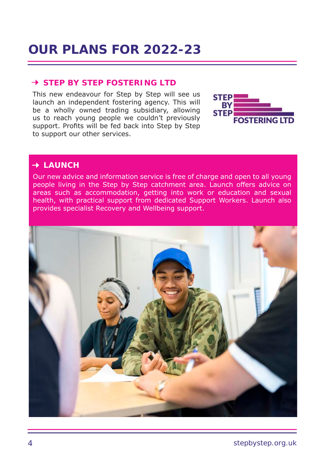### **OUR PLANS FOR 2022-23**

#### **→ STEP BY STEP FOSTERING LTD**

This new endeavour for Step by Step will see us launch an independent fostering agency. This will be a wholly owned trading subsidiary, allowing us to reach young people we couldn't previously support. Profits will be fed back into Step by Step to support our other services.



### $\rightarrow$  LAUNCH

Our new advice and information service is free of charge and open to all young people living in the Step by Step catchment area. Launch offers advice on areas such as accommodation, getting into work or education and sexual health, with practical support from dedicated Support Workers. Launch also provides specialist Recovery and Wellbeing support.

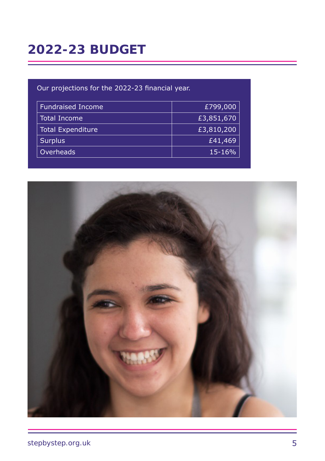### **2022-23 BUDGET**

Fundraised Income £799,000 Total Income  $\Big|$   $E3,851,670$ Total Expenditure **E3,810,200** Surplus **E41,469** Overheads 15-16% Our projections for the 2022-23 financial year.

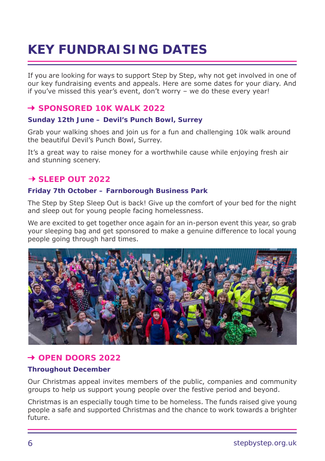## **KEY FUNDRAISING DATES**

If you are looking for ways to support Step by Step, why not get involved in one of our key fundraising events and appeals. Here are some dates for your diary. And if you've missed this year's event, don't worry – we do these every year!

#### **SPONSORED 10K WALK 2022**

#### **Sunday 12th June – Devil's Punch Bowl, Surrey**

Grab your walking shoes and join us for a fun and challenging 10k walk around the beautiful Devil's Punch Bowl, Surrey.

It's a great way to raise money for a worthwhile cause while enjoying fresh air and stunning scenery.

### **SLEEP OUT 2022**

#### **Friday 7th October – Farnborough Business Park**

The Step by Step Sleep Out is back! Give up the comfort of your bed for the night and sleep out for young people facing homelessness.

We are excited to get together once again for an in-person event this year, so grab your sleeping bag and get sponsored to make a genuine difference to local young people going through hard times.



### $\rightarrow$  **OPEN DOORS 2022**

#### **Throughout December**

Our Christmas appeal invites members of the public, companies and community groups to help us support young people over the festive period and beyond.

Christmas is an especially tough time to be homeless. The funds raised give young people a safe and supported Christmas and the chance to work towards a brighter future.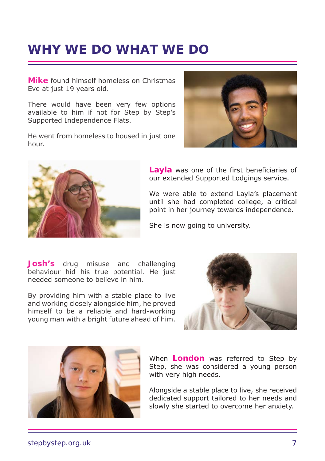### **WHY WE DO WHAT WE DO**

**Mike** found himself homeless on Christmas Eve at just 19 years old.

There would have been very few options available to him if not for Step by Step's Supported Independence Flats.

He went from homeless to housed in just one hour.





**Layla** was one of the first beneficiaries of our extended Supported Lodgings service.

We were able to extend Layla's placement until she had completed college, a critical point in her journey towards independence.

She is now going to university.

**Josh's** drug misuse and challenging behaviour hid his true potential. He just needed someone to believe in him.

By providing him with a stable place to live and working closely alongside him, he proved himself to be a reliable and hard-working young man with a bright future ahead of him.





When **London** was referred to Step by Step, she was considered a young person with very high needs.

Alongside a stable place to live, she received dedicated support tailored to her needs and slowly she started to overcome her anxiety.